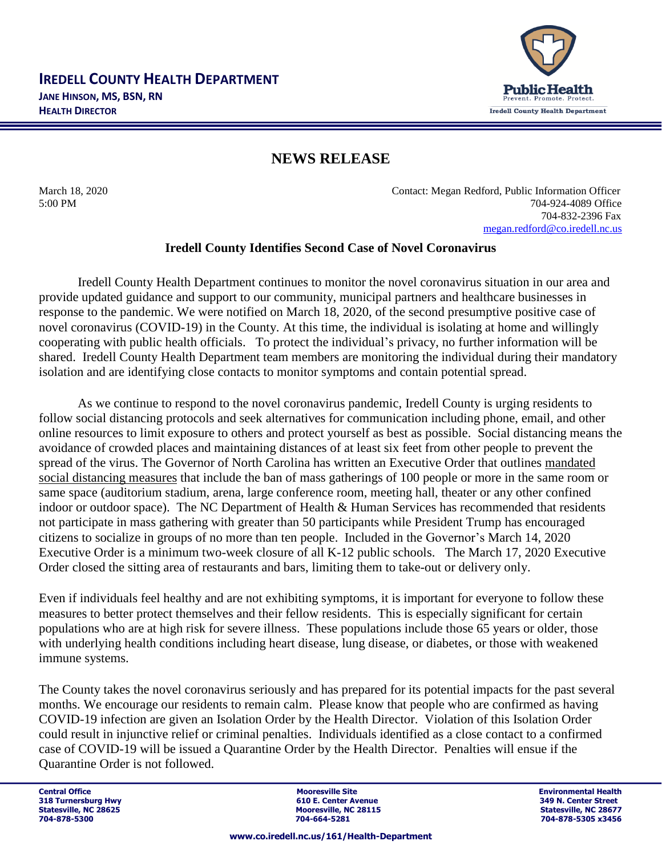

## **NEWS RELEASE**

March 18, 2020 Contact: Megan Redford, Public Information Officer 5:00 PM 704-924-4089 Office 704-832-2396 Fax [megan.redford@co.iredell.nc.us](mailto:megan.redford@co.iredell.nc.us)

## **Iredell County Identifies Second Case of Novel Coronavirus**

Iredell County Health Department continues to monitor the novel coronavirus situation in our area and provide updated guidance and support to our community, municipal partners and healthcare businesses in response to the pandemic. We were notified on March 18, 2020, of the second presumptive positive case of novel coronavirus (COVID-19) in the County. At this time, the individual is isolating at home and willingly cooperating with public health officials. To protect the individual's privacy, no further information will be shared. Iredell County Health Department team members are monitoring the individual during their mandatory isolation and are identifying close contacts to monitor symptoms and contain potential spread.

As we continue to respond to the novel coronavirus pandemic, Iredell County is urging residents to follow social distancing protocols and seek alternatives for communication including phone, email, and other online resources to limit exposure to others and protect yourself as best as possible. Social distancing means the avoidance of crowded places and maintaining distances of at least six feet from other people to prevent the spread of the virus. The Governor of North Carolina has written an Executive Order that outlines [mandated](https://www.ncdhhs.gov/news/press-releases/governor-cooper-issues-executive-order-closing-k-12-public-schools-and-banning)  [social distancing measures](https://www.ncdhhs.gov/news/press-releases/governor-cooper-issues-executive-order-closing-k-12-public-schools-and-banning) that include the ban of mass gatherings of 100 people or more in the same room or same space (auditorium stadium, arena, large conference room, meeting hall, theater or any other confined indoor or outdoor space). The NC Department of Health  $&$  Human Services has recommended that residents not participate in mass gathering with greater than 50 participants while President Trump has encouraged citizens to socialize in groups of no more than ten people. Included in the Governor's March 14, 2020 Executive Order is a minimum two-week closure of all K-12 public schools. The March 17, 2020 Executive Order closed the sitting area of restaurants and bars, limiting them to take-out or delivery only.

Even if individuals feel healthy and are not exhibiting symptoms, it is important for everyone to follow these measures to better protect themselves and their fellow residents. This is especially significant for certain populations who are at high risk for severe illness. These populations include those 65 years or older, those with underlying health conditions including heart disease, lung disease, or diabetes, or those with weakened immune systems.

The County takes the novel coronavirus seriously and has prepared for its potential impacts for the past several months. We encourage our residents to remain calm. Please know that people who are confirmed as having COVID-19 infection are given an Isolation Order by the Health Director. Violation of this Isolation Order could result in injunctive relief or criminal penalties. Individuals identified as a close contact to a confirmed case of COVID-19 will be issued a Quarantine Order by the Health Director. Penalties will ensue if the Quarantine Order is not followed.

Central Office و Central Office Site Site Site Site and Discussion of The Site of The Site Site Site Site Site<br>التاريخ المساحة التاريخ التاريخ التاريخ التاريخ التاريخ التاريخ التاريخ التاريخ التاريخ التاريخ التاريخ التاري **318 Turnersburg Hwy 1988 1998 1999 1999 1999 1999 1999 10:31 1999 1999 10:42 11:42 11:42 11:42 11:42 11:42 11:42 11:42 11:42 11:42 11:42 11:42 11:42 11:42 11:42 11:42 11:42 11:42 11:42 11:42 11:42 11:42 11:42 11:42 11:42 Mooresville, NC 28115 Mooresville, NC 28677**<br> **Statesville, NC 28115**<br> **Statesville, NC 28677 704-878-5300 704-664-5281 704-878-5305 x3456**